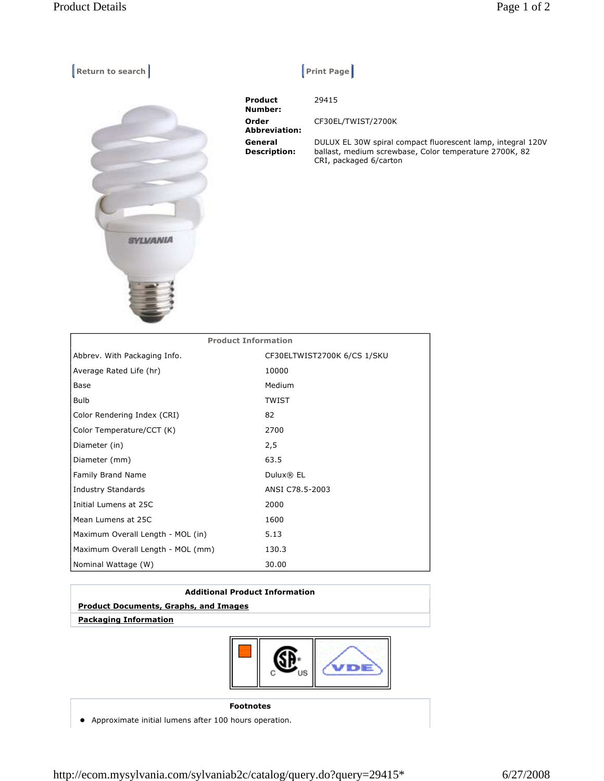**Return to search Return Construction Construction Construction Construction Construction Construction Construction Construction Construction Construction Construction Construction Construction Construction Construction Co** 



| <b>Product</b><br>Number:      | 29415                                                                                                                                           |
|--------------------------------|-------------------------------------------------------------------------------------------------------------------------------------------------|
| Order<br><b>Abbreviation:</b>  | CF30EL/TWIST/2700K                                                                                                                              |
| General<br><b>Description:</b> | DULUX EL 30W spiral compact fluorescent lamp, integral 120V<br>ballast, medium screwbase, Color temperature 2700K, 82<br>CRI, packaged 6/carton |

| <b>Product Information</b>        |                             |  |
|-----------------------------------|-----------------------------|--|
| Abbrev. With Packaging Info.      | CF30ELTWIST2700K 6/CS 1/SKU |  |
| Average Rated Life (hr)           | 10000                       |  |
| Base                              | Medium                      |  |
| <b>Bulb</b>                       | <b>TWIST</b>                |  |
| Color Rendering Index (CRI)       | 82                          |  |
| Color Temperature/CCT (K)         | 2700                        |  |
| Diameter (in)                     | 2,5                         |  |
| Diameter (mm)                     | 63.5                        |  |
| Family Brand Name                 | Dulux® EL                   |  |
| <b>Industry Standards</b>         | ANSI C78.5-2003             |  |
| Initial Lumens at 25C             | 2000                        |  |
| Mean Lumens at 25C                | 1600                        |  |
| Maximum Overall Length - MOL (in) | 5.13                        |  |
| Maximum Overall Length - MOL (mm) | 130.3                       |  |
| Nominal Wattage (W)               | 30.00                       |  |

| <b>Additional Product Information</b>        |  |
|----------------------------------------------|--|
| <b>Product Documents, Graphs, and Images</b> |  |
| <b>Packaging Information</b>                 |  |
|                                              |  |



## **Footnotes**

Approximate initial lumens after 100 hours operation.